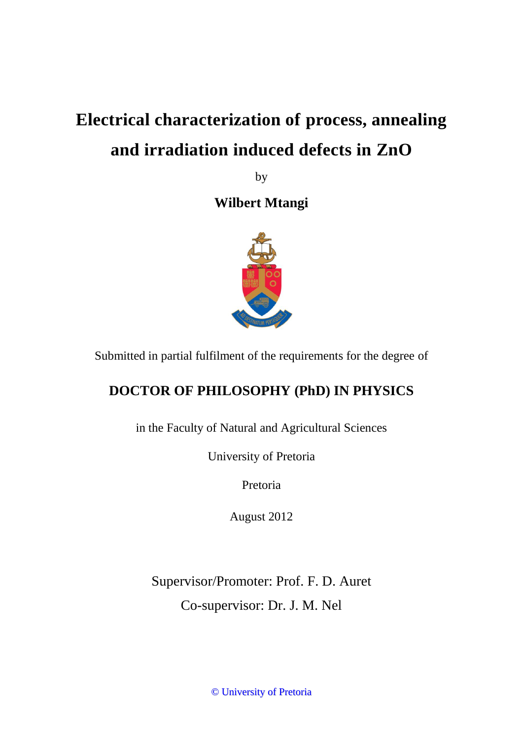# **Electrical characterization of process, annealing and irradiation induced defects in ZnO**

by

**Wilbert Mtangi** 



Submitted in partial fulfilment of the requirements for the degree of

## **DOCTOR OF PHILOSOPHY (PhD) IN PHYSICS**

in the Faculty of Natural and Agricultural Sciences

University of Pretoria

Pretoria

August 2012

Supervisor/Promoter: Prof. F. D. Auret Co-supervisor: Dr. J. M. Nel

© University of Pretoria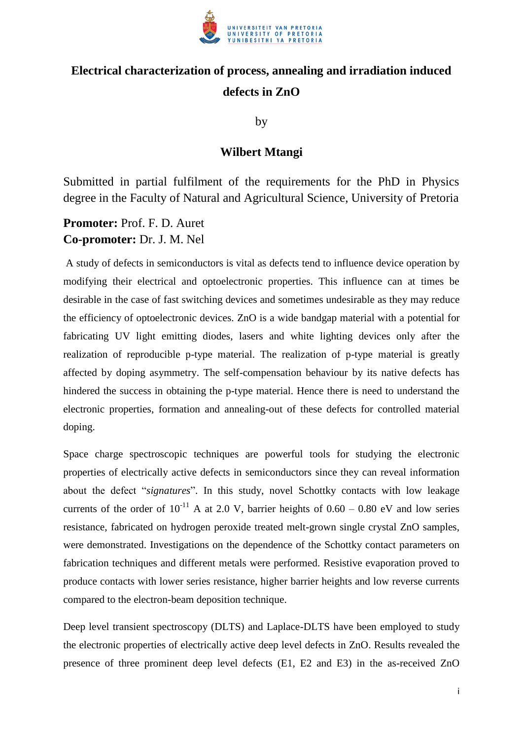

### **Electrical characterization of process, annealing and irradiation induced defects in ZnO**

by

#### **Wilbert Mtangi**

Submitted in partial fulfilment of the requirements for the PhD in Physics degree in the Faculty of Natural and Agricultural Science, University of Pretoria

**Promoter:** Prof. F. D. Auret **Co-promoter:** Dr. J. M. Nel

 A study of defects in semiconductors is vital as defects tend to influence device operation by modifying their electrical and optoelectronic properties. This influence can at times be desirable in the case of fast switching devices and sometimes undesirable as they may reduce the efficiency of optoelectronic devices. ZnO is a wide bandgap material with a potential for fabricating UV light emitting diodes, lasers and white lighting devices only after the realization of reproducible p-type material. The realization of p-type material is greatly affected by doping asymmetry. The self-compensation behaviour by its native defects has hindered the success in obtaining the p-type material. Hence there is need to understand the electronic properties, formation and annealing-out of these defects for controlled material doping.

Space charge spectroscopic techniques are powerful tools for studying the electronic properties of electrically active defects in semiconductors since they can reveal information about the defect "*signatures*". In this study, novel Schottky contacts with low leakage currents of the order of  $10^{-11}$  A at 2.0 V, barrier heights of 0.60 – 0.80 eV and low series resistance, fabricated on hydrogen peroxide treated melt-grown single crystal ZnO samples, were demonstrated. Investigations on the dependence of the Schottky contact parameters on fabrication techniques and different metals were performed. Resistive evaporation proved to produce contacts with lower series resistance, higher barrier heights and low reverse currents compared to the electron-beam deposition technique.

Deep level transient spectroscopy (DLTS) and Laplace-DLTS have been employed to study the electronic properties of electrically active deep level defects in ZnO. Results revealed the presence of three prominent deep level defects (E1, E2 and E3) in the as-received ZnO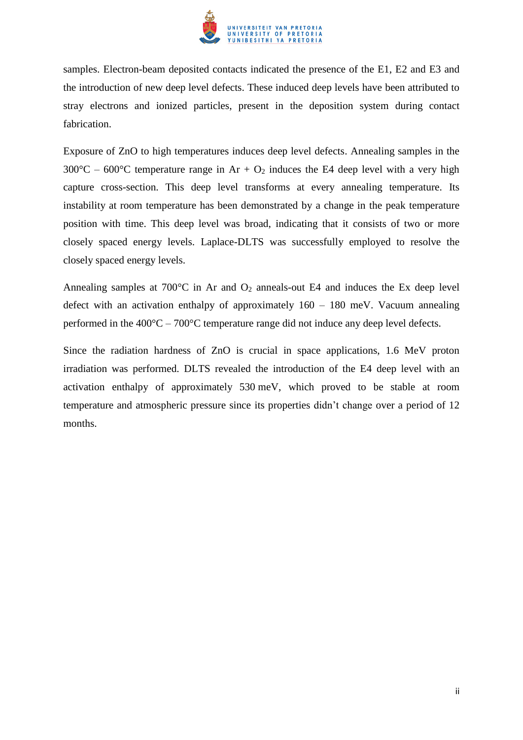

samples. Electron-beam deposited contacts indicated the presence of the E1, E2 and E3 and the introduction of new deep level defects. These induced deep levels have been attributed to stray electrons and ionized particles, present in the deposition system during contact fabrication.

Exposure of ZnO to high temperatures induces deep level defects. Annealing samples in the  $300^{\circ}$ C – 600°C temperature range in Ar + O<sub>2</sub> induces the E4 deep level with a very high capture cross-section. This deep level transforms at every annealing temperature. Its instability at room temperature has been demonstrated by a change in the peak temperature position with time. This deep level was broad, indicating that it consists of two or more closely spaced energy levels. Laplace-DLTS was successfully employed to resolve the closely spaced energy levels.

Annealing samples at  $700^{\circ}$ C in Ar and  $O_2$  anneals-out E4 and induces the Ex deep level defect with an activation enthalpy of approximately 160 – 180 meV. Vacuum annealing performed in the  $400^{\circ}$ C –  $700^{\circ}$ C temperature range did not induce any deep level defects.

Since the radiation hardness of ZnO is crucial in space applications, 1.6 MeV proton irradiation was performed. DLTS revealed the introduction of the E4 deep level with an activation enthalpy of approximately 530 meV, which proved to be stable at room temperature and atmospheric pressure since its properties didn't change over a period of 12 months.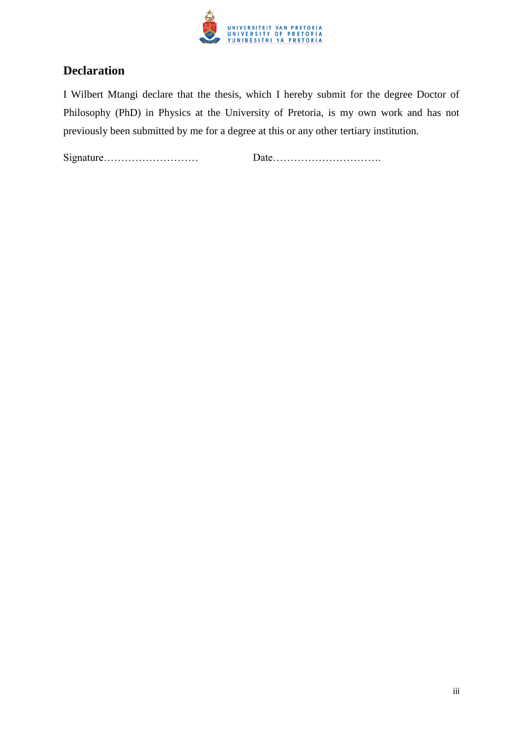

#### **Declaration**

I Wilbert Mtangi declare that the thesis, which I hereby submit for the degree Doctor of Philosophy (PhD) in Physics at the University of Pretoria, is my own work and has not previously been submitted by me for a degree at this or any other tertiary institution.

Signature……………………… Date………………………….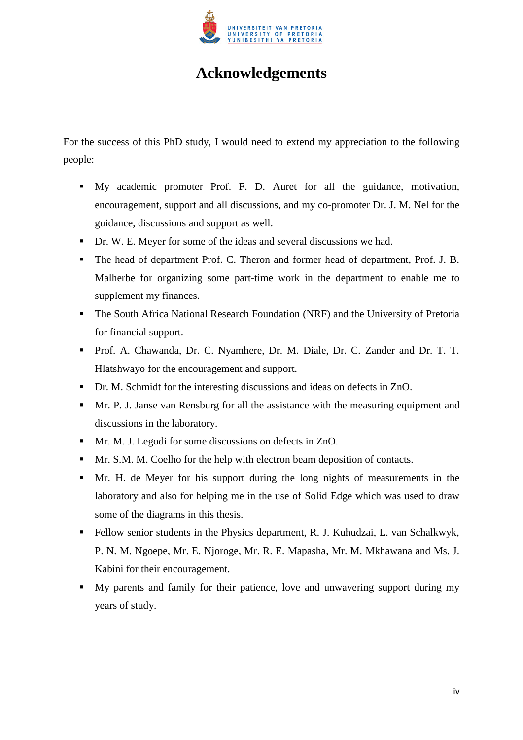

## **Acknowledgements**

For the success of this PhD study, I would need to extend my appreciation to the following people:

- My academic promoter Prof. F. D. Auret for all the guidance, motivation, encouragement, support and all discussions, and my co-promoter Dr. J. M. Nel for the guidance, discussions and support as well.
- Dr. W. E. Meyer for some of the ideas and several discussions we had.
- The head of department Prof. C. Theron and former head of department, Prof. J. B. Malherbe for organizing some part-time work in the department to enable me to supplement my finances.
- The South Africa National Research Foundation (NRF) and the University of Pretoria for financial support.
- Prof. A. Chawanda, Dr. C. Nyamhere, Dr. M. Diale, Dr. C. Zander and Dr. T. T. Hlatshwayo for the encouragement and support.
- Dr. M. Schmidt for the interesting discussions and ideas on defects in ZnO.
- Mr. P. J. Janse van Rensburg for all the assistance with the measuring equipment and discussions in the laboratory.
- **Mr. M. J. Legodi for some discussions on defects in ZnO.**
- **Mr. S.M. M. Coelho for the help with electron beam deposition of contacts.**
- Mr. H. de Meyer for his support during the long nights of measurements in the laboratory and also for helping me in the use of Solid Edge which was used to draw some of the diagrams in this thesis.
- Fellow senior students in the Physics department, R. J. Kuhudzai, L. van Schalkwyk, P. N. M. Ngoepe, Mr. E. Njoroge, Mr. R. E. Mapasha, Mr. M. Mkhawana and Ms. J. Kabini for their encouragement.
- My parents and family for their patience, love and unwavering support during my years of study.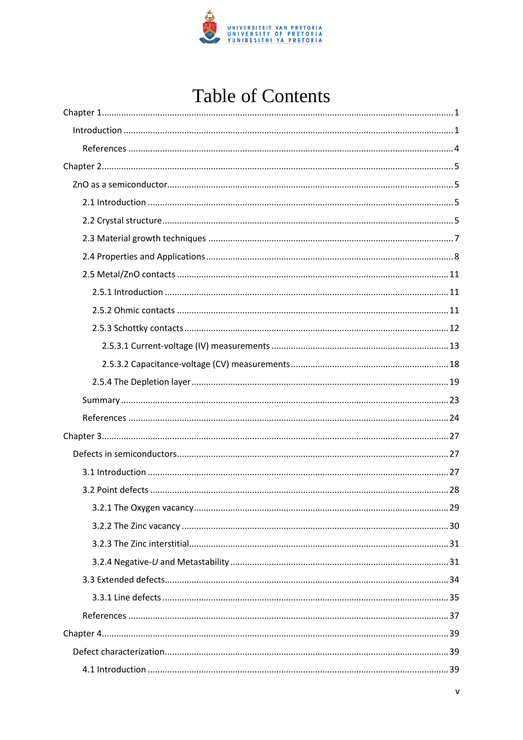

## **Table of Contents**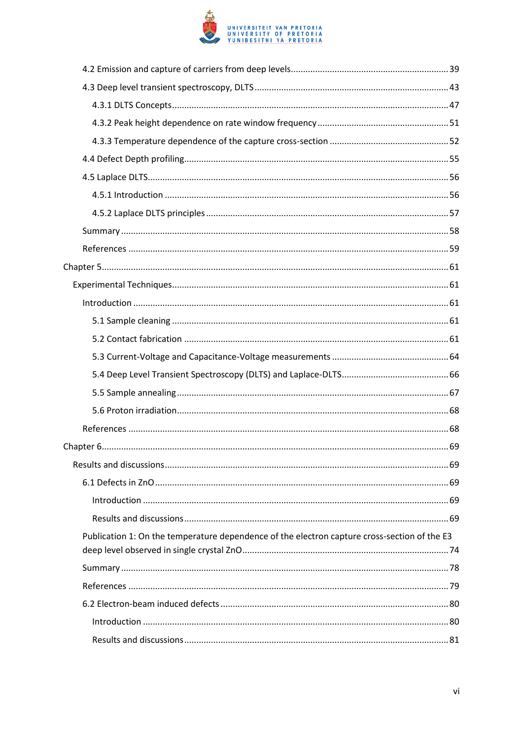

| Publication 1: On the temperature dependence of the electron capture cross-section of the E3 |  |
|----------------------------------------------------------------------------------------------|--|
|                                                                                              |  |
|                                                                                              |  |
|                                                                                              |  |
|                                                                                              |  |
|                                                                                              |  |
|                                                                                              |  |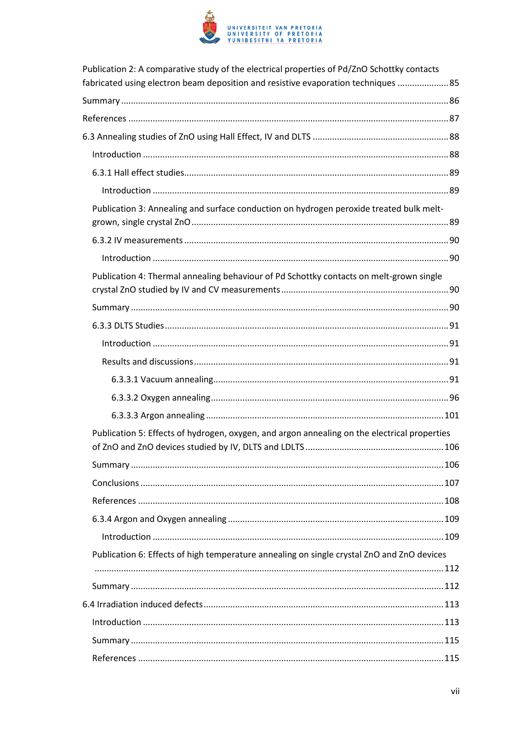

| Publication 2: A comparative study of the electrical properties of Pd/ZnO Schottky contacts<br>fabricated using electron beam deposition and resistive evaporation techniques  85 |  |
|-----------------------------------------------------------------------------------------------------------------------------------------------------------------------------------|--|
|                                                                                                                                                                                   |  |
|                                                                                                                                                                                   |  |
|                                                                                                                                                                                   |  |
|                                                                                                                                                                                   |  |
|                                                                                                                                                                                   |  |
|                                                                                                                                                                                   |  |
| Publication 3: Annealing and surface conduction on hydrogen peroxide treated bulk melt-                                                                                           |  |
|                                                                                                                                                                                   |  |
|                                                                                                                                                                                   |  |
| Publication 4: Thermal annealing behaviour of Pd Schottky contacts on melt-grown single                                                                                           |  |
|                                                                                                                                                                                   |  |
|                                                                                                                                                                                   |  |
|                                                                                                                                                                                   |  |
|                                                                                                                                                                                   |  |
|                                                                                                                                                                                   |  |
|                                                                                                                                                                                   |  |
|                                                                                                                                                                                   |  |
| Publication 5: Effects of hydrogen, oxygen, and argon annealing on the electrical properties                                                                                      |  |
|                                                                                                                                                                                   |  |
|                                                                                                                                                                                   |  |
|                                                                                                                                                                                   |  |
|                                                                                                                                                                                   |  |
|                                                                                                                                                                                   |  |
| Publication 6: Effects of high temperature annealing on single crystal ZnO and ZnO devices                                                                                        |  |
|                                                                                                                                                                                   |  |
|                                                                                                                                                                                   |  |
|                                                                                                                                                                                   |  |
|                                                                                                                                                                                   |  |
|                                                                                                                                                                                   |  |